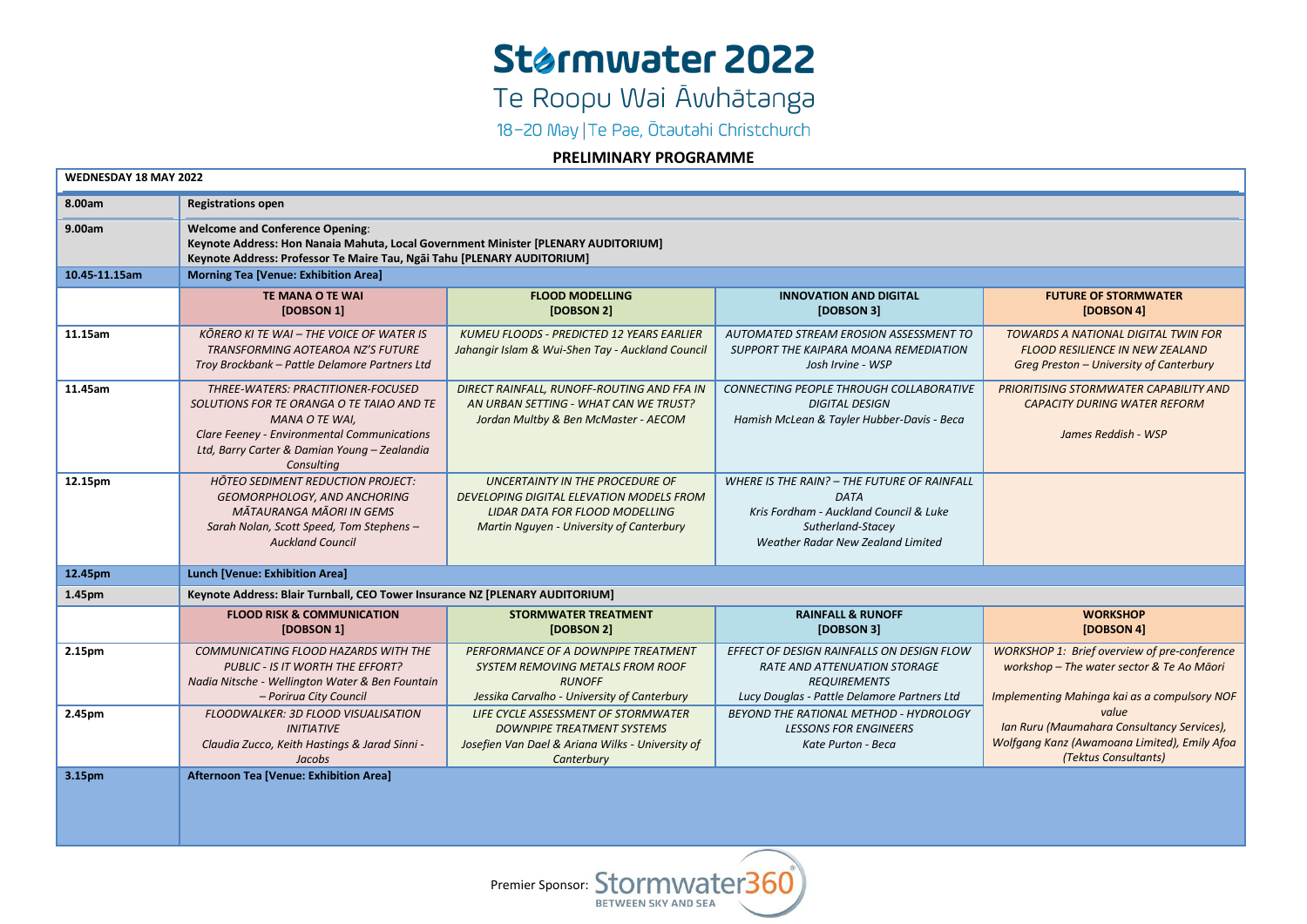## Te Roopu Wai Awhātanga

18-20 May | Te Pae, Ōtautahi Christchurch

#### **PRELIMINARY PROGRAMME**

| WEDNESDAY 18 MAY 2022 |                                                                                                                                                                                                                              |                                                                                                                                                           |                                                                                                                                                                |                                                                                                                                                  |
|-----------------------|------------------------------------------------------------------------------------------------------------------------------------------------------------------------------------------------------------------------------|-----------------------------------------------------------------------------------------------------------------------------------------------------------|----------------------------------------------------------------------------------------------------------------------------------------------------------------|--------------------------------------------------------------------------------------------------------------------------------------------------|
| 8.00am                | <b>Registrations open</b>                                                                                                                                                                                                    |                                                                                                                                                           |                                                                                                                                                                |                                                                                                                                                  |
| 9.00am                | <b>Welcome and Conference Opening:</b><br>Keynote Address: Hon Nanaia Mahuta, Local Government Minister [PLENARY AUDITORIUM]<br>Keynote Address: Professor Te Maire Tau, Ngai Tahu [PLENARY AUDITORIUM]                      |                                                                                                                                                           |                                                                                                                                                                |                                                                                                                                                  |
| 10.45 11.15am         | <b>Morning Tea [Venue: Exhibition Area]</b>                                                                                                                                                                                  |                                                                                                                                                           |                                                                                                                                                                |                                                                                                                                                  |
|                       | TE MANA O TE WAI<br>[DOBSON 1]                                                                                                                                                                                               | <b>FLOOD MODELLING</b><br>[DOBSON 2]                                                                                                                      | <b>INNOVATION AND DIGITAL</b><br>[DOBSON 3]                                                                                                                    | <b>FUTURE OF STORMWATER</b><br>[DOBSON 4]                                                                                                        |
| 11.15am               | <b>KÖRERO KI TE WAI - THE VOICE OF WATER IS</b><br>TRANSFORMING AOTEAROA NZ'S FUTURE<br>Troy Brockbank - Pattle Delamore Partners Ltd                                                                                        | <b>KUMEU FLOODS - PREDICTED 12 YEARS EARLIER</b><br>Jahangir Islam & Wui-Shen Tay - Auckland Council                                                      | <b>AUTOMATED STREAM EROSION ASSESSMENT TO</b><br>SUPPORT THE KAIPARA MOANA REMEDIATION<br>Josh Irvine - WSP                                                    | <b>TOWARDS A NATIONAL DIGITAL TWIN FOR</b><br>FLOOD RESILIENCE IN NEW ZEALAND<br>Greg Preston – University of Canterbury                         |
| 11.45am               | THREE-WATERS: PRACTITIONER-FOCUSED<br>SOLUTIONS FOR TE ORANGA O TE TAIAO AND TE<br><b>MANA O TE WAI.</b><br><b>Clare Feeney - Environmental Communications</b><br>Ltd, Barry Carter & Damian Young - Zealandia<br>Consulting | DIRECT RAINFALL, RUNOFF-ROUTING AND FFA IN<br>AN URBAN SETTING - WHAT CAN WE TRUST?<br>Jordan Multby & Ben McMaster - AECOM                               | CONNECTING PEOPLE THROUGH COLLABORATIVE<br><b>DIGITAL DESIGN</b><br>Hamish McLean & Tayler Hubber-Davis - Beca                                                 | PRIORITISING STORMWATER CAPABILITY AND<br><b>CAPACITY DURING WATER REFORM</b><br>James Reddish - WSP                                             |
| 12.15pm               | <b>HŌTEO SEDIMENT REDUCTION PROJECT:</b><br><b>GEOMORPHOLOGY, AND ANCHORING</b><br>MĀTAURANGA MĀORI IN GEMS<br>Sarah Nolan, Scott Speed, Tom Stephens -<br><b>Auckland Council</b>                                           | UNCERTAINTY IN THE PROCEDURE OF<br>DEVELOPING DIGITAL ELEVATION MODELS FROM<br>LIDAR DATA FOR FLOOD MODELLING<br>Martin Nguyen - University of Canterbury | WHERE IS THE RAIN? - THE FUTURE OF RAINFALL<br><b>DATA</b><br>Kris Fordham - Auckland Council & Luke<br>Sutherland-Stacey<br>Weather Radar New Zealand Limited |                                                                                                                                                  |
| 12.45pm               | <b>Lunch [Venue: Exhibition Area]</b>                                                                                                                                                                                        |                                                                                                                                                           |                                                                                                                                                                |                                                                                                                                                  |
| 1.45pm                | Keynote Address: Blair Turnball, CEO Tower Insurance NZ [PLENARY AUDITORIUM]                                                                                                                                                 |                                                                                                                                                           |                                                                                                                                                                |                                                                                                                                                  |
|                       | <b>FLOOD RISK &amp; COMMUNICATION</b><br>[DOBSON 1]                                                                                                                                                                          | <b>STORMWATER TREATMENT</b><br>[DOBSON 2]                                                                                                                 | <b>RAINFALL &amp; RUNOFF</b><br>[DOBSON 3]                                                                                                                     | <b>WORKSHOP</b><br>[DOBSON 4]                                                                                                                    |
| 2.15pm                | COMMUNICATING FLOOD HAZARDS WITH THE<br><b>PUBLIC - IS IT WORTH THE EFFORT?</b><br>Nadia Nitsche - Wellington Water & Ben Fountain<br>- Porirua City Council                                                                 | PERFORMANCE OF A DOWNPIPE TREATMENT<br>SYSTEM REMOVING METALS FROM ROOF<br><b>RUNOFF</b><br>Jessika Carvalho - University of Canterbury                   | EFFECT OF DESIGN RAINFALLS ON DESIGN FLOW<br>RATE AND ATTENUATION STORAGE<br><b>REQUIREMENTS</b><br>Lucy Douglas - Pattle Delamore Partners Ltd                | <b>WORKSHOP 1: Brief overview of pre-conference</b><br>workshop - The water sector & Te Ao Māori<br>Implementing Mahinga kai as a compulsory NOF |
| 2.45pm                | FLOODWALKER: 3D FLOOD VISUALISATION<br><b>INITIATIVE</b><br>Claudia Zucco, Keith Hastings & Jarad Sinni -<br>Jacobs                                                                                                          | LIFE CYCLE ASSESSMENT OF STORMWATER<br><b>DOWNPIPE TREATMENT SYSTEMS</b><br>Josefien Van Dael & Ariana Wilks - University of<br>Canterbury                | BEYOND THE RATIONAL METHOD - HYDROLOGY<br><b>LESSONS FOR ENGINEERS</b><br>Kate Purton - Beca                                                                   | value<br>Ian Ruru (Maumahara Consultancy Services),<br>Wolfgang Kanz (Awamoana Limited), Emily Afoa<br>(Tektus Consultants)                      |
| 3.15 <sub>pm</sub>    | <b>Afternoon Tea [Venue: Exhibition Area]</b>                                                                                                                                                                                |                                                                                                                                                           |                                                                                                                                                                |                                                                                                                                                  |

Premier Sponsor: Stormwater BETWEEN SKY AND SEA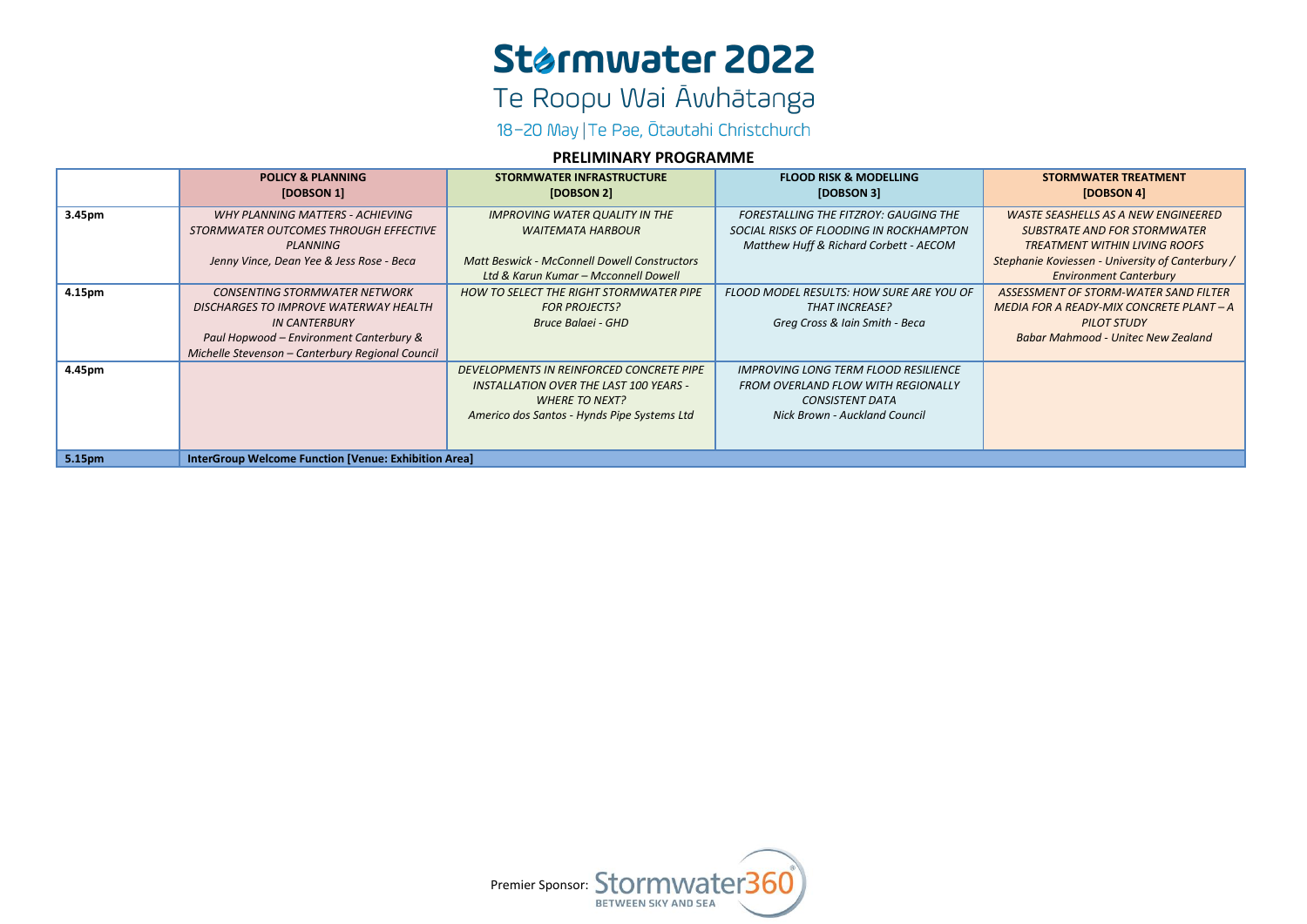## Te Roopu Wai Awhātanga

18-20 May | Te Pae, Ōtautahi Christchurch

### **PRELIMINARY PROGRAMME**

|        | <b>POLICY &amp; PLANNING</b><br>[DOBSON 1]                                                                                                                                                           | STORMWATER INFRASTRUCTURE<br>[DOBSON 2]                                                                                                                           | <b>FLOOD RISK &amp; MODELLING</b><br>[DOBSON 3]                                                                                                     | <b>STORMWATER TREATMENT</b><br>[DOBSON 4]                                                                                                                                           |
|--------|------------------------------------------------------------------------------------------------------------------------------------------------------------------------------------------------------|-------------------------------------------------------------------------------------------------------------------------------------------------------------------|-----------------------------------------------------------------------------------------------------------------------------------------------------|-------------------------------------------------------------------------------------------------------------------------------------------------------------------------------------|
| 3.45pm | WHY PLANNING MATTERS - ACHIEVING<br>STORMWATER OUTCOMES THROUGH EFFECTIVE<br>PLANNING<br>Jenny Vince, Dean Yee & Jess Rose - Beca                                                                    | <b>IMPROVING WATER QUALITY IN THE</b><br><b>WAITEMATA HARBOUR</b><br><b>Matt Beswick - McConnell Dowell Constructors</b>                                          | <b>FORESTALLING THE FITZROY: GAUGING THE</b><br>SOCIAL RISKS OF FLOODING IN ROCKHAMPTON<br>Matthew Huff & Richard Corbett - AECOM                   | <b>WASTE SEASHELLS AS A NEW ENGINEERED</b><br><b>SUBSTRATE AND FOR STORMWATER</b><br><b>TREATMENT WITHIN LIVING ROOFS</b><br>Stephanie Koviessen - University of Canterbury /       |
| 4.15pm | <b>CONSENTING STORMWATER NETWORK</b><br>DISCHARGES TO IMPROVE WATERWAY HEALTH<br><b>IN CANTERBURY</b><br>Paul Hopwood - Environment Canterbury &<br>Michelle Stevenson - Canterbury Regional Council | Ltd & Karun Kumar - Mcconnell Dowell<br>HOW TO SELECT THE RIGHT STORMWATER PIPE<br><b>FOR PROJECTS?</b><br>Bruce Balaei - GHD                                     | FLOOD MODEL RESULTS: HOW SURE ARE YOU OF<br><b>THAT INCREASE?</b><br>Greg Cross & Iain Smith - Beca                                                 | <b>Environment Canterbury</b><br>ASSESSMENT OF STORM-WATER SAND FILTER<br>MEDIA FOR A READY-MIX CONCRETE PLANT-A<br><b>PILOT STUDY</b><br><b>Babar Mahmood - Unitec New Zealand</b> |
| 4.45pm |                                                                                                                                                                                                      | DEVELOPMENTS IN REINFORCED CONCRETE PIPE<br><b>INSTALLATION OVER THE LAST 100 YEARS -</b><br><b>WHERE TO NEXT?</b><br>Americo dos Santos - Hynds Pipe Systems Ltd | <b>IMPROVING LONG TERM FLOOD RESILIENCE</b><br><b>FROM OVERLAND FLOW WITH REGIONALLY</b><br><b>CONSISTENT DATA</b><br>Nick Brown - Auckland Council |                                                                                                                                                                                     |
| 5.15pm | <b>InterGroup Welcome Function [Venue: Exhibition Area]</b>                                                                                                                                          |                                                                                                                                                                   |                                                                                                                                                     |                                                                                                                                                                                     |

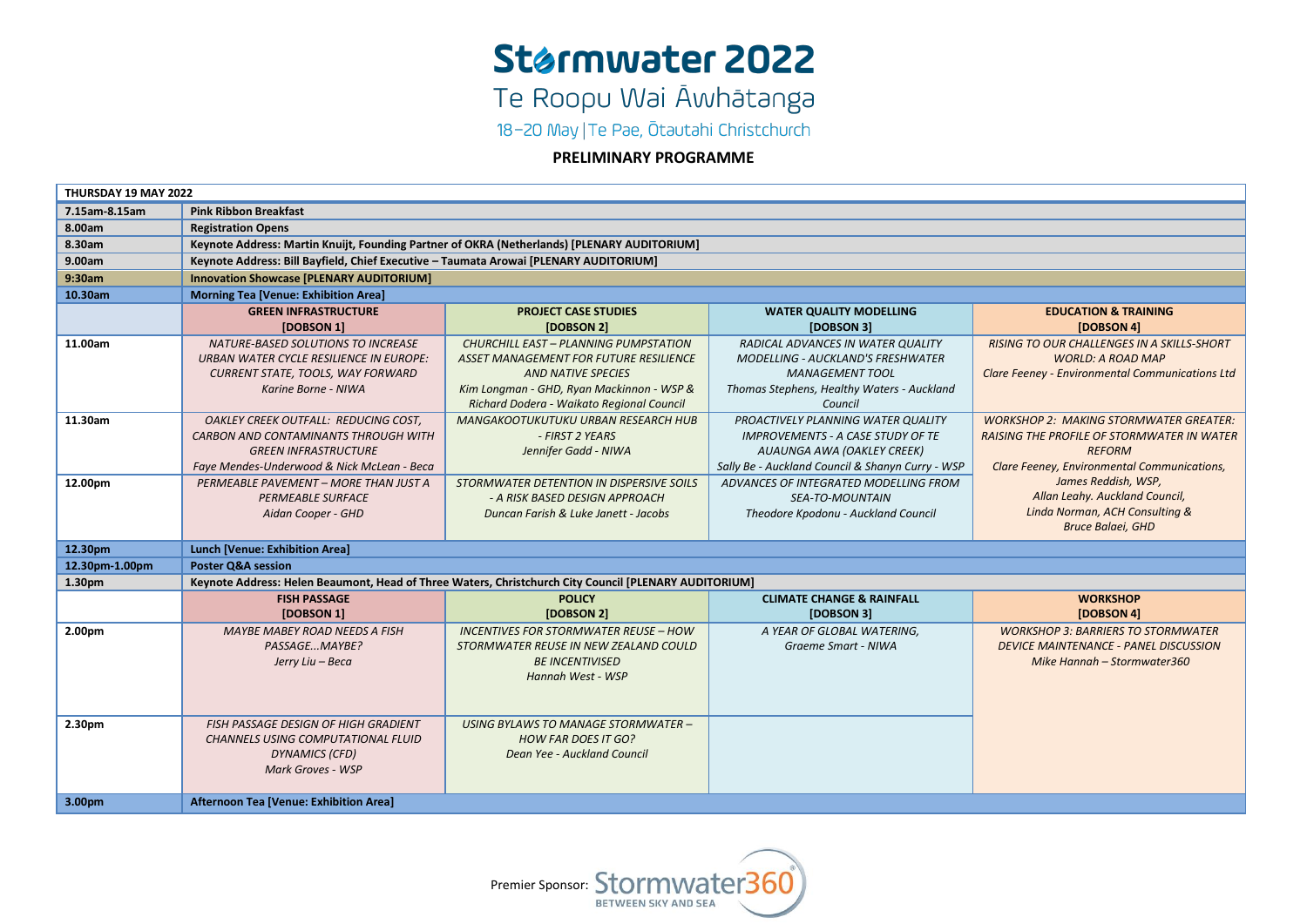## Te Roopu Wai Awhātanga

18-20 May | Te Pae, Ōtautahi Christchurch

### **PRELIMINARY PROGRAMME**

| THURSDAY 19 MAY 2022 |                                                                                                                                                                  |                                                                                                                                                                                                        |                                                                                                                                                                  |                                                                                                                                                                    |  |
|----------------------|------------------------------------------------------------------------------------------------------------------------------------------------------------------|--------------------------------------------------------------------------------------------------------------------------------------------------------------------------------------------------------|------------------------------------------------------------------------------------------------------------------------------------------------------------------|--------------------------------------------------------------------------------------------------------------------------------------------------------------------|--|
| 7.15am-8.15am        | <b>Pink Ribbon Breakfast</b>                                                                                                                                     |                                                                                                                                                                                                        |                                                                                                                                                                  |                                                                                                                                                                    |  |
| 8.00am               | <b>Registration Opens</b>                                                                                                                                        |                                                                                                                                                                                                        |                                                                                                                                                                  |                                                                                                                                                                    |  |
| 8.30am               |                                                                                                                                                                  | Keynote Address: Martin Knuijt, Founding Partner of OKRA (Netherlands) [PLENARY AUDITORIUM]                                                                                                            |                                                                                                                                                                  |                                                                                                                                                                    |  |
| 9.00am               | Keynote Address: Bill Bayfield, Chief Executive - Taumata Arowai [PLENARY AUDITORIUM]                                                                            |                                                                                                                                                                                                        |                                                                                                                                                                  |                                                                                                                                                                    |  |
| 9:30am               | <b>Innovation Showcase [PLENARY AUDITORIUM]</b>                                                                                                                  |                                                                                                                                                                                                        |                                                                                                                                                                  |                                                                                                                                                                    |  |
| 10.30am              | <b>Morning Tea [Venue: Exhibition Area]</b>                                                                                                                      |                                                                                                                                                                                                        |                                                                                                                                                                  |                                                                                                                                                                    |  |
|                      | <b>GREEN INFRASTRUCTURE</b><br>[DOBSON 1]                                                                                                                        | <b>PROJECT CASE STUDIES</b><br>[DOBSON 2]                                                                                                                                                              | <b>WATER QUALITY MODELLING</b><br>[DOBSON 3]                                                                                                                     | <b>EDUCATION &amp; TRAINING</b><br>[DOBSON 4]                                                                                                                      |  |
| 11.00am              | NATURE-BASED SOLUTIONS TO INCREASE<br>URBAN WATER CYCLE RESILIENCE IN EUROPE:<br>CURRENT STATE, TOOLS, WAY FORWARD<br>Karine Borne - NIWA                        | CHURCHILL EAST - PLANNING PUMPSTATION<br>ASSET MANAGEMENT FOR FUTURE RESILIENCE<br><b>AND NATIVE SPECIES</b><br>Kim Longman - GHD, Ryan Mackinnon - WSP &<br>Richard Dodera - Waikato Regional Council | RADICAL ADVANCES IN WATER QUALITY<br><b>MODELLING - AUCKLAND'S FRESHWATER</b><br><b>MANAGEMENT TOOL</b><br>Thomas Stephens, Healthy Waters - Auckland<br>Council | RISING TO OUR CHALLENGES IN A SKILLS-SHORT<br><b>WORLD: A ROAD MAP</b><br><b>Clare Feeney - Environmental Communications Ltd</b>                                   |  |
| 11.30am              | OAKLEY CREEK OUTFALL: REDUCING COST,<br><b>CARBON AND CONTAMINANTS THROUGH WITH</b><br><b>GREEN INFRASTRUCTURE</b><br>Faye Mendes-Underwood & Nick McLean - Beca | MANGAKOOTUKUTUKU URBAN RESEARCH HUB<br>- FIRST 2 YEARS<br>Jennifer Gadd - NIWA                                                                                                                         | PROACTIVELY PLANNING WATER QUALITY<br><b>IMPROVEMENTS - A CASE STUDY OF TE</b><br>AUAUNGA AWA (OAKLEY CREEK)<br>Sally Be - Auckland Council & Shanyn Curry - WSP | <b>WORKSHOP 2: MAKING STORMWATER GREATER:</b><br><b>RAISING THE PROFILE OF STORMWATER IN WATER</b><br><b>REFORM</b><br>Clare Feeney, Environmental Communications, |  |
| 12.00pm              | PERMEABLE PAVEMENT - MORE THAN JUST A<br><b>PERMEABLE SURFACE</b><br>Aidan Cooper - GHD                                                                          | STORMWATER DETENTION IN DISPERSIVE SOILS<br>- A RISK BASED DESIGN APPROACH<br>Duncan Farish & Luke Janett - Jacobs                                                                                     | ADVANCES OF INTEGRATED MODELLING FROM<br><b>SEA-TO-MOUNTAIN</b><br>Theodore Kpodonu - Auckland Council                                                           | James Reddish, WSP,<br>Allan Leahy. Auckland Council,<br>Linda Norman, ACH Consulting &<br><b>Bruce Balaei, GHD</b>                                                |  |
| 12.30pm              | <b>Lunch [Venue: Exhibition Area]</b>                                                                                                                            |                                                                                                                                                                                                        |                                                                                                                                                                  |                                                                                                                                                                    |  |
| 12.30pm-1.00pm       | <b>Poster Q&amp;A session</b>                                                                                                                                    |                                                                                                                                                                                                        |                                                                                                                                                                  |                                                                                                                                                                    |  |
| 1.30pm               |                                                                                                                                                                  | Keynote Address: Helen Beaumont, Head of Three Waters, Christchurch City Council [PLENARY AUDITORIUM]                                                                                                  |                                                                                                                                                                  |                                                                                                                                                                    |  |
|                      | <b>FISH PASSAGE</b>                                                                                                                                              | <b>POLICY</b>                                                                                                                                                                                          | <b>CLIMATE CHANGE &amp; RAINFALL</b>                                                                                                                             | <b>WORKSHOP</b>                                                                                                                                                    |  |
|                      | [DOBSON 1]                                                                                                                                                       | [DOBSON 2]                                                                                                                                                                                             | [DOBSON 3]                                                                                                                                                       | [DOBSON 4]                                                                                                                                                         |  |
| 2.00pm               | MAYBE MABEY ROAD NEEDS A FISH<br>PASSAGEMAYBE?<br>Jerry Liu - Beca                                                                                               | <b>INCENTIVES FOR STORMWATER REUSE - HOW</b><br>STORMWATER REUSE IN NEW ZEALAND COULD<br><b>BE INCENTIVISED</b><br>Hannah West - WSP                                                                   | A YEAR OF GLOBAL WATERING.<br>Graeme Smart - NIWA                                                                                                                | <b>WORKSHOP 3: BARRIERS TO STORMWATER</b><br><b>DEVICE MAINTENANCE - PANEL DISCUSSION</b><br>Mike Hannah - Stormwater360                                           |  |
| 2.30pm               | <b>FISH PASSAGE DESIGN OF HIGH GRADIENT</b><br>CHANNELS USING COMPUTATIONAL FLUID<br><b>DYNAMICS (CFD)</b><br><b>Mark Groves - WSP</b>                           | USING BYLAWS TO MANAGE STORMWATER -<br><b>HOW FAR DOES IT GO?</b><br>Dean Yee - Auckland Council                                                                                                       |                                                                                                                                                                  |                                                                                                                                                                    |  |
| 3.00 <sub>pm</sub>   | <b>Afternoon Tea [Venue: Exhibition Area]</b>                                                                                                                    |                                                                                                                                                                                                        |                                                                                                                                                                  |                                                                                                                                                                    |  |